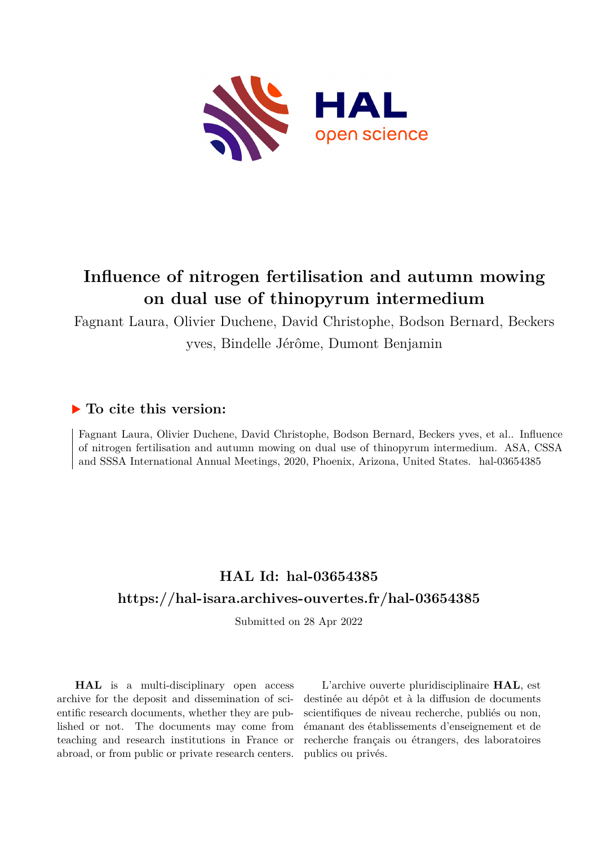

## **Influence of nitrogen fertilisation and autumn mowing on dual use of thinopyrum intermedium**

Fagnant Laura, Olivier Duchene, David Christophe, Bodson Bernard, Beckers yves, Bindelle Jérôme, Dumont Benjamin

## **To cite this version:**

Fagnant Laura, Olivier Duchene, David Christophe, Bodson Bernard, Beckers yves, et al.. Influence of nitrogen fertilisation and autumn mowing on dual use of thinopyrum intermedium. ASA, CSSA and SSSA International Annual Meetings, 2020, Phoenix, Arizona, United States. hal-03654385

## **HAL Id: hal-03654385 <https://hal-isara.archives-ouvertes.fr/hal-03654385>**

Submitted on 28 Apr 2022

**HAL** is a multi-disciplinary open access archive for the deposit and dissemination of scientific research documents, whether they are published or not. The documents may come from teaching and research institutions in France or abroad, or from public or private research centers.

L'archive ouverte pluridisciplinaire **HAL**, est destinée au dépôt et à la diffusion de documents scientifiques de niveau recherche, publiés ou non, émanant des établissements d'enseignement et de recherche français ou étrangers, des laboratoires publics ou privés.